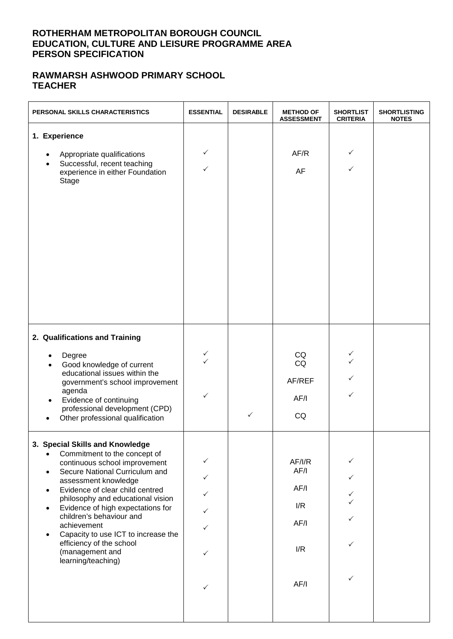#### **ROTHERHAM METROPOLITAN BOROUGH COUNCIL EDUCATION, CULTURE AND LEISURE PROGRAMME AREA PERSON SPECIFICATION**

### **RAWMARSH ASHWOOD PRIMARY SCHOOL TEACHER**

| PERSONAL SKILLS CHARACTERISTICS                                                                                                                                                                                                                                                                                                                                                                                                                                                                 | <b>ESSENTIAL</b>                                                                       | <b>DESIRABLE</b> | <b>METHOD OF</b><br><b>ASSESSMENT</b>               | <b>SHORTLIST</b><br><b>CRITERIA</b> | <b>SHORTLISTING</b><br><b>NOTES</b> |
|-------------------------------------------------------------------------------------------------------------------------------------------------------------------------------------------------------------------------------------------------------------------------------------------------------------------------------------------------------------------------------------------------------------------------------------------------------------------------------------------------|----------------------------------------------------------------------------------------|------------------|-----------------------------------------------------|-------------------------------------|-------------------------------------|
| 1. Experience<br>Appropriate qualifications<br>$\bullet$<br>Successful, recent teaching<br>$\bullet$<br>experience in either Foundation<br>Stage                                                                                                                                                                                                                                                                                                                                                | $\checkmark$<br>✓                                                                      |                  | AF/R<br><b>AF</b>                                   | ✓<br>✓                              |                                     |
| 2. Qualifications and Training<br>Degree<br>Good knowledge of current<br>$\bullet$<br>educational issues within the<br>government's school improvement<br>agenda<br>Evidence of continuing<br>professional development (CPD)<br>Other professional qualification                                                                                                                                                                                                                                | ✓<br>$\checkmark$<br>$\checkmark$                                                      | ✓                | CQ<br>CQ<br>AF/REF<br>AF/I<br>CQ                    | ✓<br>$\checkmark$<br>✓<br>✓         |                                     |
| 3. Special Skills and Knowledge<br>Commitment to the concept of<br>$\bullet$<br>continuous school improvement<br>Secure National Curriculum and<br>$\bullet$<br>assessment knowledge<br>Evidence of clear child centred<br>$\bullet$<br>philosophy and educational vision<br>Evidence of high expectations for<br>$\bullet$<br>children's behaviour and<br>achievement<br>Capacity to use ICT to increase the<br>$\bullet$<br>efficiency of the school<br>(management and<br>learning/teaching) | ✓<br>$\checkmark$<br>$\checkmark$<br>$\checkmark$<br>✓<br>$\checkmark$<br>$\checkmark$ |                  | AF/IR<br>AF/I<br>AF/I<br>I/R<br>AF/I<br>I/R<br>AF/I | $\checkmark$<br>✓<br>✓<br>✓<br>✓    |                                     |